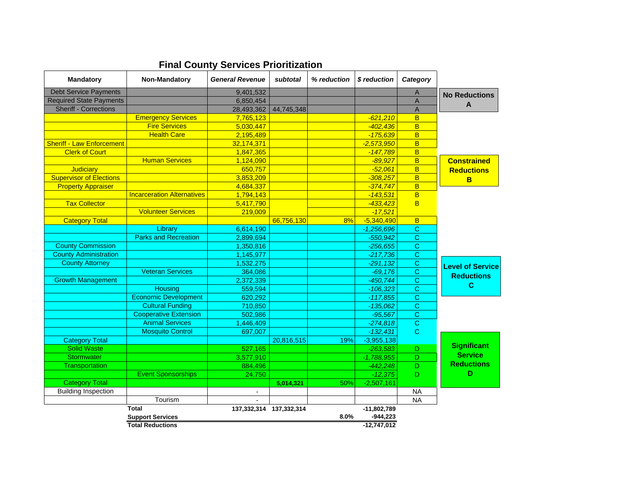| <b>Mandatory</b>                 | Non-Mandatory                     | <b>General Revenue</b>  | subtotal   | % reduction | \$ reduction  | Category                |                         |
|----------------------------------|-----------------------------------|-------------------------|------------|-------------|---------------|-------------------------|-------------------------|
| Debt Service Payments            |                                   | 9,401,532               |            |             |               | $\overline{A}$          | <b>No Reductions</b>    |
| <b>Required State Payments</b>   |                                   | 6,850,454               |            |             |               | $\overline{A}$          | A                       |
| <b>Sheriff - Corrections</b>     |                                   | 28,493,362              | 44,745,348 |             |               | $\overline{A}$          |                         |
|                                  | <b>Emergency Services</b>         | 7,765,123               |            |             | $-621,210$    | B                       |                         |
|                                  | <b>Fire Services</b>              | 5,030,447               |            |             | $-402,436$    | $\overline{B}$          |                         |
|                                  | <b>Health Care</b>                | 2,195,489               |            |             | $-175,639$    | B                       |                         |
| <b>Sheriff - Law Enforcement</b> |                                   | 32,174,371              |            |             | $-2,573,950$  | B                       |                         |
| <b>Clerk of Court</b>            |                                   | 1,847,365               |            |             | $-147,789$    | B                       |                         |
|                                  | <b>Human Services</b>             | 1,124,090               |            |             | $-89.927$     | B                       | <b>Constrained</b>      |
| Judiciary                        |                                   | 650,757                 |            |             | $-52,061$     | B                       | <b>Reductions</b>       |
| <b>Supervisor of Elections</b>   |                                   | 3,853,209               |            |             | $-308.257$    | B                       | B                       |
| <b>Property Appraiser</b>        |                                   | 4,684,337               |            |             | $-374,747$    | $\overline{\mathsf{B}}$ |                         |
|                                  | <b>Incarceration Alternatives</b> | 1,794,143               |            |             | $-143,531$    | B                       |                         |
| <b>Tax Collector</b>             |                                   | 5,417,790               |            |             | $-433,423$    | B                       |                         |
|                                  | <b>Volunteer Services</b>         | 219,009                 |            |             | $-17,521$     |                         |                         |
| <b>Category Total</b>            |                                   |                         | 66,756,130 | 8%          | $-5,340,490$  | B                       |                         |
|                                  | Library                           | 6,614,190               |            |             | $-1,256,696$  | С                       |                         |
|                                  | <b>Parks and Recreation</b>       | 2,899,694               |            |             | $-550,942$    | $\overline{\text{c}}$   |                         |
| <b>County Commission</b>         |                                   | 1,350,816               |            |             | $-256.655$    | C                       |                         |
| <b>County Administration</b>     |                                   | 1,145,977               |            |             | $-217,736$    | $\mathbf C$             |                         |
| <b>County Attorney</b>           |                                   | 1,532,275               |            |             | $-291,132$    | $\mathbf C$             | <b>Level of Service</b> |
|                                  | <b>Veteran Services</b>           | 364,086                 |            |             | $-69,176$     | C                       | <b>Reductions</b>       |
| <b>Growth Management</b>         |                                   | 2,372,339               |            |             | $-450,744$    | C                       |                         |
|                                  | <b>Housing</b>                    | 559,594                 |            |             | $-106,323$    | C                       | C                       |
|                                  | <b>Economic Development</b>       | 620,292                 |            |             | $-117,855$    | $\mathbf C$             |                         |
|                                  | <b>Cultural Funding</b>           | 710,850                 |            |             | $-135.062$    | C                       |                         |
|                                  | <b>Cooperative Extension</b>      | 502,986                 |            |             | $-95,567$     | $\mathbf C$             |                         |
|                                  | <b>Animal Services</b>            | 1,446,409               |            |             | $-274,818$    | $\overline{c}$          |                         |
|                                  | <b>Mosquito Control</b>           | 697,007                 |            |             | $-132,431$    | $\mathbf C$             |                         |
| <b>Category Total</b>            |                                   |                         | 20,816,515 | 19%         | $-3,955,138$  |                         |                         |
| <b>Solid Waste</b>               |                                   | 527,165                 |            |             | $-263,583$    | D                       | <b>Significant</b>      |
| Stormwater                       |                                   | 3,577,910               |            |             | $-1,788,955$  | $\overline{D}$          | <b>Service</b>          |
| <b>Transportation</b>            |                                   | 884,496                 |            |             | $-442,248$    | D                       | <b>Reductions</b>       |
|                                  | <b>Event Sponsorships</b>         | 24,750                  |            |             | $-12,375$     | D                       | D                       |
| <b>Category Total</b>            |                                   |                         | 5,014,321  | 50%         | $-2,507,161$  |                         |                         |
| <b>Building Inspection</b>       |                                   | $\blacksquare$          |            |             |               | <b>NA</b>               |                         |
|                                  | Tourism                           | $\blacksquare$          |            |             |               | <b>NA</b>               |                         |
|                                  | Total                             | 137,332,314 137,332,314 |            |             | -11,802,789   |                         |                         |
|                                  | <b>Support Services</b>           |                         |            | 8.0%        | $-944,223$    |                         |                         |
|                                  | <b>Total Reductions</b>           |                         |            |             | $-12,747,012$ |                         |                         |

## **Final County Services Prioritization**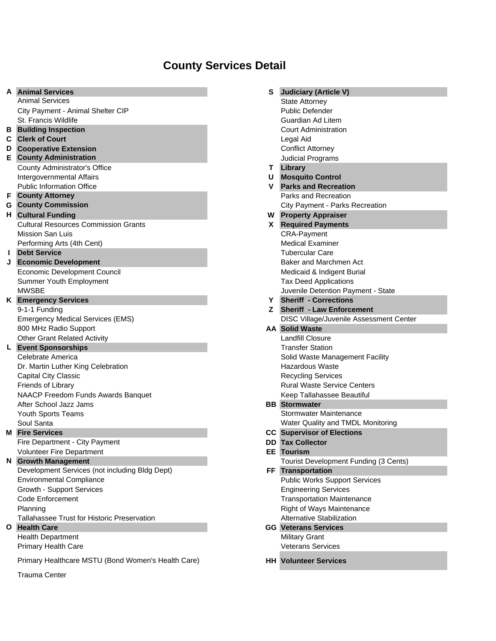# **County Services Detail**

| A            | <b>Animal Services</b>                             | S  | <b>Judiciary (Article V)</b>                   |
|--------------|----------------------------------------------------|----|------------------------------------------------|
|              | <b>Animal Services</b>                             |    | <b>State Attorney</b>                          |
|              | City Payment - Animal Shelter CIP                  |    | <b>Public Defender</b>                         |
|              | St. Francis Wildlife                               |    | Guardian Ad Litem                              |
| В            | <b>Building Inspection</b>                         |    | <b>Court Administration</b>                    |
| С            | <b>Clerk of Court</b>                              |    | Legal Aid                                      |
| D            | <b>Cooperative Extension</b>                       |    | <b>Conflict Attorney</b>                       |
| E.           | <b>County Administration</b>                       |    | Judicial Programs                              |
|              | County Administrator's Office                      | T. | Library                                        |
|              | Intergovernmental Affairs                          | U  | <b>Mosquito Control</b>                        |
|              | <b>Public Information Office</b>                   | v  | <b>Parks and Recreation</b>                    |
| F            | <b>County Attorney</b>                             |    | Parks and Recreation                           |
|              | <b>G</b> County Commission                         |    | City Payment - Parks Recreation                |
| н.           | <b>Cultural Funding</b>                            |    | <b>W</b> Property Appraiser                    |
|              | <b>Cultural Resources Commission Grants</b>        |    | <b>X</b> Required Payments                     |
|              | Mission San Luis                                   |    | <b>CRA-Payment</b>                             |
|              | Performing Arts (4th Cent)                         |    | <b>Medical Examiner</b>                        |
| L            | <b>Debt Service</b>                                |    | <b>Tubercular Care</b>                         |
|              | <b>Economic Development</b>                        |    | Baker and Marchmen Act                         |
|              | Economic Development Council                       |    | Medicaid & Indigent Burial                     |
|              | Summer Youth Employment                            |    | <b>Tax Deed Applications</b>                   |
|              | <b>MWSBE</b>                                       |    | Juvenile Detention Payment - State             |
|              | <b>K</b> Emergency Services                        | Y  | <b>Sheriff - Corrections</b>                   |
|              | 9-1-1 Funding                                      | Z. | <b>Sheriff - Law Enforcement</b>               |
|              | <b>Emergency Medical Services (EMS)</b>            |    | <b>DISC Village/Juvenile Assessment Center</b> |
|              | 800 MHz Radio Support                              |    | <b>AA Solid Waste</b>                          |
|              | <b>Other Grant Related Activity</b>                |    | Landfill Closure                               |
|              |                                                    |    | <b>Transfer Station</b>                        |
|              | <b>L</b> Event Sponsorships                        |    |                                                |
|              | Celebrate America                                  |    | Solid Waste Management Facility                |
|              | Dr. Martin Luther King Celebration                 |    | <b>Hazardous Waste</b>                         |
|              | <b>Capital City Classic</b>                        |    | <b>Recycling Services</b>                      |
|              | Friends of Library                                 |    | <b>Rural Waste Service Centers</b>             |
|              | NAACP Freedom Funds Awards Banquet                 |    | Keep Tallahassee Beautiful                     |
|              | After School Jazz Jams                             |    | <b>BB</b> Stormwater                           |
|              | Youth Sports Teams                                 |    | Stormwater Maintenance                         |
|              | Soul Santa                                         |    | Water Quality and TMDL Monitoring              |
|              | <b>M</b> Fire Services                             |    | <b>CC</b> Supervisor of Elections              |
|              | Fire Department - City Payment                     |    | <b>DD</b> Tax Collector                        |
|              | <b>Volunteer Fire Department</b>                   |    | <b>EE</b> Tourism                              |
| N.           | <b>Growth Management</b>                           |    | Tourist Development Funding (3 Cents)          |
|              | Development Services (not including Bldg Dept)     |    | FF Transportation                              |
|              | <b>Environmental Compliance</b>                    |    | <b>Public Works Support Services</b>           |
|              | Growth - Support Services                          |    | <b>Engineering Services</b>                    |
|              | Code Enforcement                                   |    | <b>Transportation Maintenance</b>              |
|              |                                                    |    | Right of Ways Maintenance                      |
|              | Planning                                           |    |                                                |
|              | Tallahassee Trust for Historic Preservation        |    | Alternative Stabilization                      |
| $\mathbf{o}$ | <b>Health Care</b>                                 |    | <b>GG</b> Veterans Services                    |
|              | <b>Health Department</b>                           |    | <b>Military Grant</b>                          |
|              | Primary Health Care                                |    | <b>Veterans Services</b>                       |
|              | Primary Healthcare MSTU (Bond Women's Health Care) |    | <b>HH Volunteer Services</b>                   |

Trauma Center

| s   | <b>Judiciary (Article V)</b>                                    |
|-----|-----------------------------------------------------------------|
|     | <b>State Attorney</b>                                           |
|     | <b>Public Defender</b>                                          |
|     | Guardian Ad Litem                                               |
|     | <b>Court Administration</b>                                     |
|     | Legal Aid                                                       |
|     | <b>Conflict Attorney</b>                                        |
|     | Judicial Programs                                               |
| Τ   | Library                                                         |
| U   | <b>Mosquito Control</b>                                         |
| v   | <b>Parks and Recreation</b>                                     |
|     | Parks and Recreation                                            |
|     | City Payment - Parks Recreation                                 |
| W   | <b>Property Appraiser</b>                                       |
| X   | <b>Required Payments</b>                                        |
|     | <b>CRA-Payment</b>                                              |
|     | <b>Medical Examiner</b>                                         |
|     | <b>Tubercular Care</b>                                          |
|     | Baker and Marchmen Act                                          |
|     | Medicaid & Indigent Burial                                      |
|     | <b>Tax Deed Applications</b>                                    |
|     | Juvenile Detention Payment - State                              |
| Y.  | <b>Sheriff - Corrections</b>                                    |
| Z.  | <b>Sheriff - Law Enforcement</b>                                |
|     | DISC Village/Juvenile Assessment Center                         |
|     | <b>AA Solid Waste</b>                                           |
|     | Landfill Closure                                                |
|     | <b>Transfer Station</b>                                         |
|     | Solid Waste Management Facility                                 |
|     | <b>Hazardous Waste</b>                                          |
|     | <b>Recycling Services</b><br><b>Rural Waste Service Centers</b> |
|     | Keep Tallahassee Beautiful                                      |
| BВ  | <b>Stormwater</b>                                               |
|     | Stormwater Maintenance                                          |
|     | Water Quality and TMDL Monitoring                               |
| СC  | <b>Supervisor of Elections</b>                                  |
| DD  | <b>Tax Collector</b>                                            |
| EЕ  | <b>Tourism</b>                                                  |
|     | Tourist Development Funding (3 Cents)                           |
| FF. | <b>Transportation</b>                                           |
|     | <b>Public Works Support Services</b>                            |
|     | <b>Engineering Services</b>                                     |
|     | <b>Transportation Maintenance</b>                               |
|     | <b>Right of Ways Maintenance</b>                                |
|     | <b>Alternative Stabilization</b>                                |
| GG  | <b>Veterans Services</b>                                        |
|     | <b>Military Grant</b>                                           |
|     | <b>Veterans Services</b>                                        |
| HН  | <b>Volunteer Services</b>                                       |
|     |                                                                 |
|     |                                                                 |